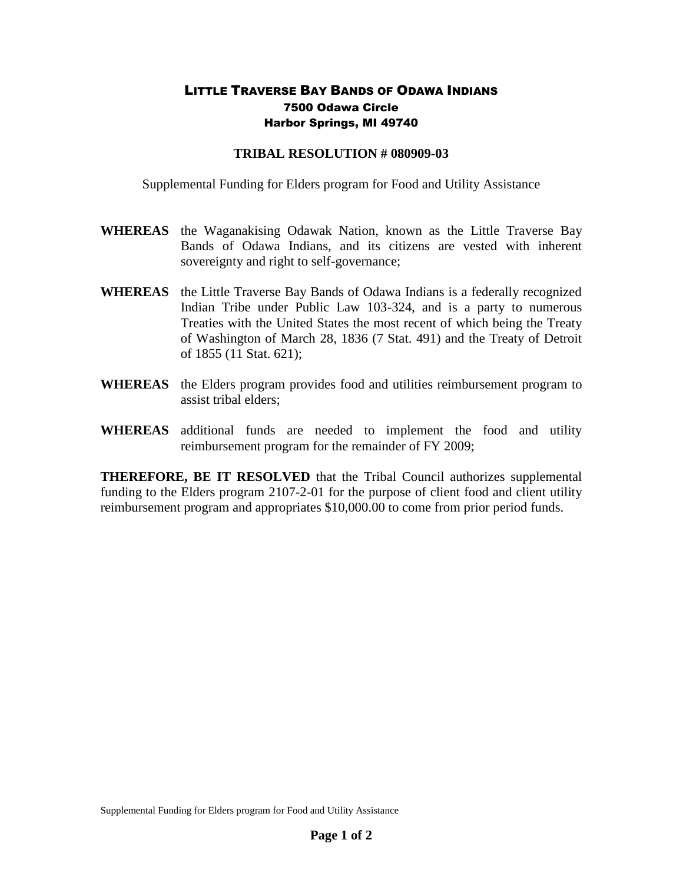## LITTLE TRAVERSE BAY BANDS OF ODAWA INDIANS 7500 Odawa Circle Harbor Springs, MI 49740

## **TRIBAL RESOLUTION # 080909-03**

Supplemental Funding for Elders program for Food and Utility Assistance

- **WHEREAS** the Waganakising Odawak Nation, known as the Little Traverse Bay Bands of Odawa Indians, and its citizens are vested with inherent sovereignty and right to self-governance;
- **WHEREAS** the Little Traverse Bay Bands of Odawa Indians is a federally recognized Indian Tribe under Public Law 103-324, and is a party to numerous Treaties with the United States the most recent of which being the Treaty of Washington of March 28, 1836 (7 Stat. 491) and the Treaty of Detroit of 1855 (11 Stat. 621);
- **WHEREAS** the Elders program provides food and utilities reimbursement program to assist tribal elders;
- **WHEREAS** additional funds are needed to implement the food and utility reimbursement program for the remainder of FY 2009;

**THEREFORE, BE IT RESOLVED** that the Tribal Council authorizes supplemental funding to the Elders program 2107-2-01 for the purpose of client food and client utility reimbursement program and appropriates \$10,000.00 to come from prior period funds.